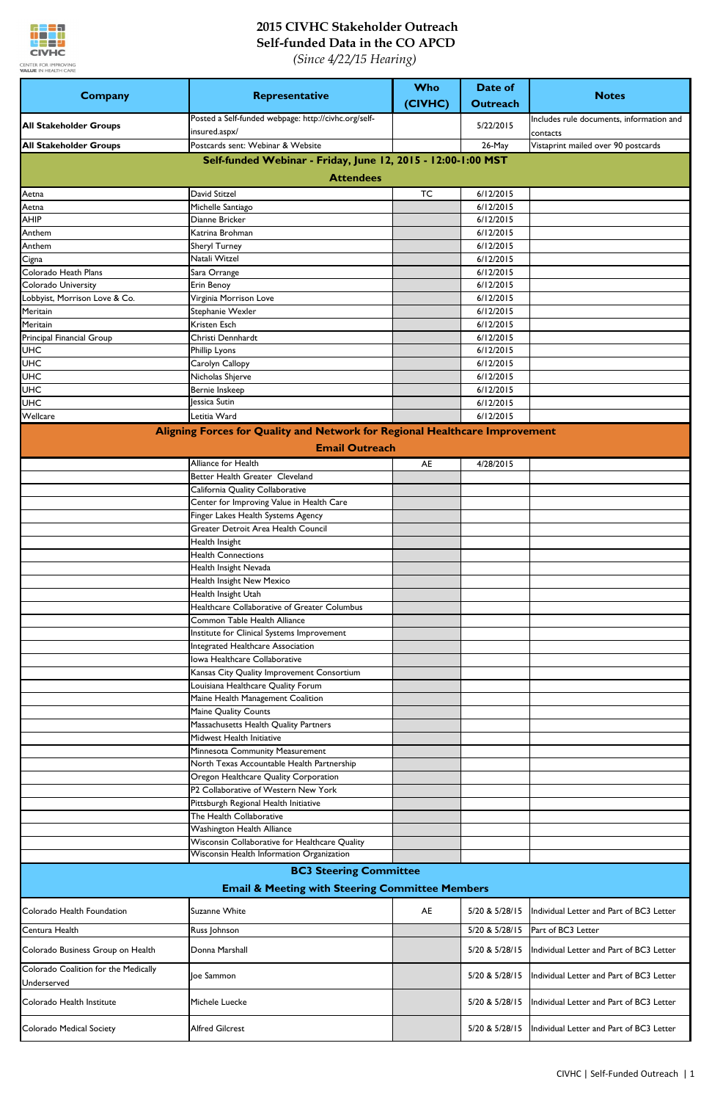

| <b>Company</b>                          | Representative                                                                              | <b>Who</b><br>(CIVHC) | Date of<br><b>Outreach</b> | <b>Notes</b>                             |
|-----------------------------------------|---------------------------------------------------------------------------------------------|-----------------------|----------------------------|------------------------------------------|
|                                         | Posted a Self-funded webpage: http://civhc.org/self-                                        |                       |                            | Includes rule documents, information and |
| <b>All Stakeholder Groups</b>           | insured.aspx/                                                                               |                       | 5/22/2015                  | contacts                                 |
| <b>All Stakeholder Groups</b>           | Postcards sent: Webinar & Website                                                           |                       | 26-May                     | Vistaprint mailed over 90 postcards      |
|                                         | Self-funded Webinar - Friday, June 12, 2015 - 12:00-1:00 MST                                |                       |                            |                                          |
|                                         | <b>Attendees</b>                                                                            |                       |                            |                                          |
| Aetna                                   | David Stitzel                                                                               | <b>TC</b>             | 6/12/2015                  |                                          |
| Aetna                                   | Michelle Santiago                                                                           |                       | 6/12/2015                  |                                          |
| <b>AHIP</b>                             | Dianne Bricker                                                                              |                       | 6/12/2015                  |                                          |
| Anthem                                  | Katrina Brohman                                                                             |                       | 6/12/2015                  |                                          |
| Anthem                                  | <b>Sheryl Turney</b><br>Natali Witzel                                                       |                       | 6/12/2015<br>6/12/2015     |                                          |
| Cigna<br>Colorado Heath Plans           | Sara Orrange                                                                                |                       | 6/12/2015                  |                                          |
| Colorado University                     | Erin Benoy                                                                                  |                       | 6/12/2015                  |                                          |
| Lobbyist, Morrison Love & Co.           | Virginia Morrison Love                                                                      |                       | 6/12/2015                  |                                          |
| Meritain                                | Stephanie Wexler                                                                            |                       | 6/12/2015                  |                                          |
| Meritain                                | <b>Kristen Esch</b>                                                                         |                       | 6/12/2015                  |                                          |
| Principal Financial Group<br><b>UHC</b> | Christi Dennhardt<br>Phillip Lyons                                                          |                       | 6/12/2015<br>6/12/2015     |                                          |
| <b>UHC</b>                              | Carolyn Callopy                                                                             |                       | 6/12/2015                  |                                          |
| <b>UHC</b>                              | Nicholas Shjerve                                                                            |                       | 6/12/2015                  |                                          |
| <b>UHC</b>                              | Bernie Inskeep                                                                              |                       | 6/12/2015                  |                                          |
| <b>UHC</b>                              | Jessica Sutin                                                                               |                       | 6/12/2015                  |                                          |
| Wellcare                                | Letitia Ward                                                                                |                       | 6/12/2015                  |                                          |
|                                         | Aligning Forces for Quality and Network for Regional Healthcare Improvement                 |                       |                            |                                          |
|                                         | <b>Email Outreach</b>                                                                       |                       |                            |                                          |
|                                         | <b>Alliance for Health</b>                                                                  | AE                    | 4/28/2015                  |                                          |
|                                         | Better Health Greater Cleveland                                                             |                       |                            |                                          |
|                                         | California Quality Collaborative<br>Center for Improving Value in Health Care               |                       |                            |                                          |
|                                         | Finger Lakes Health Systems Agency                                                          |                       |                            |                                          |
|                                         | Greater Detroit Area Health Council                                                         |                       |                            |                                          |
|                                         | Health Insight                                                                              |                       |                            |                                          |
|                                         | <b>Health Connections</b>                                                                   |                       |                            |                                          |
|                                         | Health Insight Nevada                                                                       |                       |                            |                                          |
|                                         | Health Insight New Mexico<br>Health Insight Utah                                            |                       |                            |                                          |
|                                         | Healthcare Collaborative of Greater Columbus                                                |                       |                            |                                          |
|                                         | Common Table Health Alliance                                                                |                       |                            |                                          |
|                                         | Institute for Clinical Systems Improvement                                                  |                       |                            |                                          |
|                                         | Integrated Healthcare Association                                                           |                       |                            |                                          |
|                                         | Iowa Healthcare Collaborative                                                               |                       |                            |                                          |
|                                         | Kansas City Quality Improvement Consortium<br>Louisiana Healthcare Quality Forum            |                       |                            |                                          |
|                                         | Maine Health Management Coalition                                                           |                       |                            |                                          |
|                                         | Maine Quality Counts                                                                        |                       |                            |                                          |
|                                         | Massachusetts Health Quality Partners                                                       |                       |                            |                                          |
|                                         | Midwest Health Initiative                                                                   |                       |                            |                                          |
|                                         | Minnesota Community Measurement                                                             |                       |                            |                                          |
|                                         | North Texas Accountable Health Partnership<br>Oregon Healthcare Quality Corporation         |                       |                            |                                          |
|                                         | P2 Collaborative of Western New York                                                        |                       |                            |                                          |
|                                         | Pittsburgh Regional Health Initiative                                                       |                       |                            |                                          |
|                                         | The Health Collaborative                                                                    |                       |                            |                                          |
|                                         | Washington Health Alliance                                                                  |                       |                            |                                          |
|                                         | Wisconsin Collaborative for Healthcare Quality<br>Wisconsin Health Information Organization |                       |                            |                                          |
|                                         |                                                                                             |                       |                            |                                          |
|                                         | <b>BC3 Steering Committee</b><br><b>Email &amp; Meeting with Steering Committee Members</b> |                       |                            |                                          |
| Colorado Health Foundation              | Suzanne White                                                                               | AE                    | 5/20 & 5/28/15             | Individual Letter and Part of BC3 Letter |
| Centura Health                          |                                                                                             |                       | 5/20 & 5/28/15             | Part of BC3 Letter                       |
| Colorado Business Group on Health       | Russ Johnson<br>Donna Marshall                                                              |                       | 5/20 & 5/28/15             | Individual Letter and Part of BC3 Letter |
| Colorado Coalition for the Medically    |                                                                                             |                       |                            |                                          |
| Underserved                             | Joe Sammon                                                                                  |                       | 5/20 & 5/28/15             | Individual Letter and Part of BC3 Letter |
| Colorado Health Institute               | Michele Luecke                                                                              |                       | 5/20 & 5/28/15             | Individual Letter and Part of BC3 Letter |
| Colorado Medical Society                | <b>Alfred Gilcrest</b>                                                                      |                       | 5/20 & 5/28/15             | Individual Letter and Part of BC3 Letter |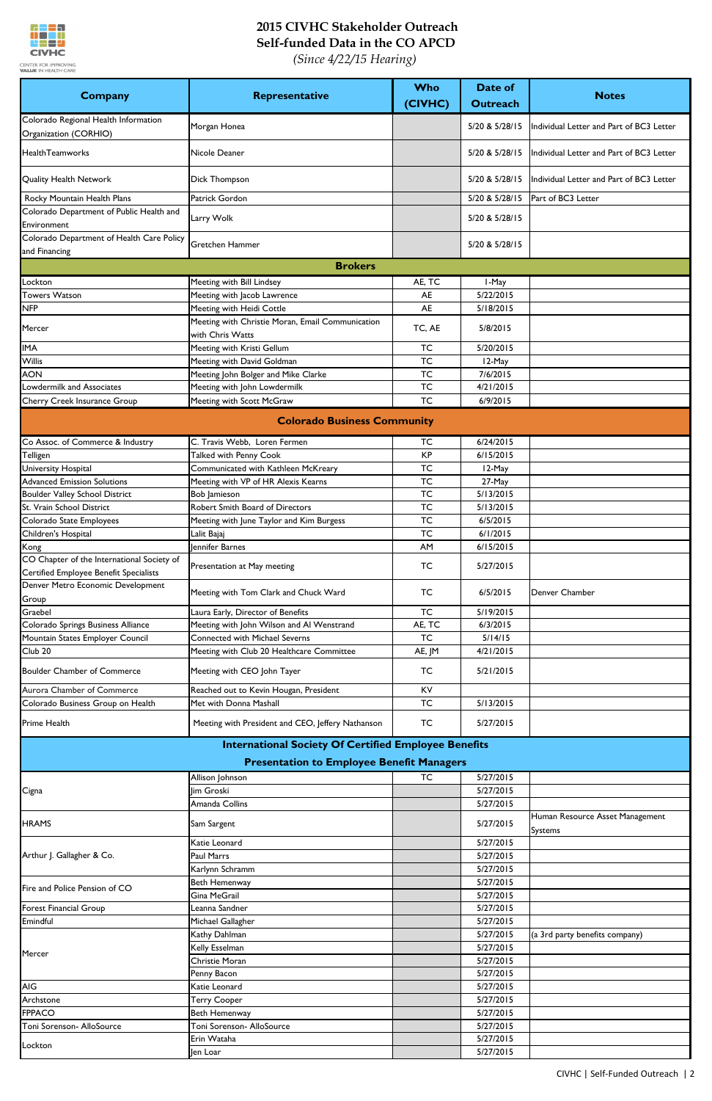

| Company                                                                              | Representative                                              | Who<br>(CIVHC) | <b>Date of</b><br><b>Outreach</b> | <b>Notes</b>                             |  |  |
|--------------------------------------------------------------------------------------|-------------------------------------------------------------|----------------|-----------------------------------|------------------------------------------|--|--|
| Colorado Regional Health Information<br>Organization (CORHIO)                        | Morgan Honea                                                |                | 5/20 & 5/28/15                    | Individual Letter and Part of BC3 Letter |  |  |
| <b>HealthTeamworks</b>                                                               | Nicole Deaner                                               |                | 5/20 & 5/28/15                    | Individual Letter and Part of BC3 Letter |  |  |
| <b>Quality Health Network</b>                                                        | Dick Thompson                                               |                | 5/20 & 5/28/15                    | Individual Letter and Part of BC3 Letter |  |  |
| Rocky Mountain Health Plans                                                          | Patrick Gordon                                              |                | 5/20 & 5/28/15                    | Part of BC3 Letter                       |  |  |
| Colorado Department of Public Health and<br>Environment                              | Larry Wolk                                                  |                | 5/20 & 5/28/15                    |                                          |  |  |
| Colorado Department of Health Care Policy<br>and Financing                           | <b>Gretchen Hammer</b>                                      |                | 5/20 & 5/28/15                    |                                          |  |  |
| <b>Brokers</b>                                                                       |                                                             |                |                                   |                                          |  |  |
| Lockton                                                                              | Meeting with Bill Lindsey                                   | AE, TC         | I-May                             |                                          |  |  |
| <b>Towers Watson</b>                                                                 | Meeting with Jacob Lawrence                                 | <b>AE</b>      | 5/22/2015                         |                                          |  |  |
| <b>NFP</b>                                                                           | Meeting with Heidi Cottle                                   | <b>AE</b>      | 5/18/2015                         |                                          |  |  |
| Mercer                                                                               | Meeting with Christie Moran, Email Communication            | TC, AE         | 5/8/2015                          |                                          |  |  |
|                                                                                      | with Chris Watts                                            |                |                                   |                                          |  |  |
| <b>IMA</b>                                                                           | Meeting with Kristi Gellum                                  | <b>TC</b>      | 5/20/2015                         |                                          |  |  |
| Willis                                                                               | Meeting with David Goldman                                  | <b>TC</b>      | 12-May                            |                                          |  |  |
| <b>AON</b>                                                                           | Meeting John Bolger and Mike Clarke                         | <b>TC</b>      | 7/6/2015                          |                                          |  |  |
| Lowdermilk and Associates                                                            | Meeting with John Lowdermilk                                | <b>TC</b>      | 4/21/2015                         |                                          |  |  |
| Cherry Creek Insurance Group                                                         | Meeting with Scott McGraw                                   | <b>TC</b>      | 6/9/2015                          |                                          |  |  |
|                                                                                      | <b>Colorado Business Community</b>                          |                |                                   |                                          |  |  |
| Co Assoc. of Commerce & Industry                                                     | C. Travis Webb, Loren Fermen                                | <b>TC</b>      | 6/24/2015                         |                                          |  |  |
| Telligen                                                                             | Talked with Penny Cook                                      | <b>KP</b>      | 6/15/2015                         |                                          |  |  |
| University Hospital                                                                  | Communicated with Kathleen McKreary                         | <b>TC</b>      | 12-May                            |                                          |  |  |
| <b>Advanced Emission Solutions</b>                                                   | Meeting with VP of HR Alexis Kearns                         | <b>TC</b>      | 27-May                            |                                          |  |  |
| <b>Boulder Valley School District</b>                                                | <b>Bob Jamieson</b>                                         | <b>TC</b>      | 5/13/2015                         |                                          |  |  |
| St. Vrain School District                                                            | Robert Smith Board of Directors                             | <b>TC</b>      | 5/13/2015                         |                                          |  |  |
| Colorado State Employees                                                             | Meeting with June Taylor and Kim Burgess                    | <b>TC</b>      | 6/5/2015                          |                                          |  |  |
| Children's Hospital                                                                  | Lalit Bajaj                                                 | <b>TC</b>      | 6/1/2015                          |                                          |  |  |
| Kong                                                                                 | Jennifer Barnes                                             | AM             | 6/15/2015                         |                                          |  |  |
| CO Chapter of the International Society of<br>Certified Employee Benefit Specialists | Presentation at May meeting                                 | <b>TC</b>      | 5/27/2015                         |                                          |  |  |
| Denver Metro Economic Development<br>Group                                           | Meeting with Tom Clark and Chuck Ward                       | <b>TC</b>      | 6/5/2015                          | Denver Chamber                           |  |  |
| Graebel                                                                              | Laura Early, Director of Benefits                           | <b>TC</b>      | 5/19/2015                         |                                          |  |  |
| Colorado Springs Business Alliance                                                   | Meeting with John Wilson and Al Wenstrand                   | AE, TC         | 6/3/2015                          |                                          |  |  |
| Mountain States Employer Council                                                     | <b>Connected with Michael Severns</b>                       | <b>TC</b>      | 5/14/15                           |                                          |  |  |
| Club <sub>20</sub>                                                                   | Meeting with Club 20 Healthcare Committee                   | AE, JM         | 4/21/2015                         |                                          |  |  |
| <b>Boulder Chamber of Commerce</b>                                                   | Meeting with CEO John Tayer                                 | TC             | 5/21/2015                         |                                          |  |  |
| Aurora Chamber of Commerce                                                           | Reached out to Kevin Hougan, President                      | KV             |                                   |                                          |  |  |
| Colorado Business Group on Health                                                    | Met with Donna Mashall                                      | <b>TC</b>      | 5/13/2015                         |                                          |  |  |
| <b>Prime Health</b>                                                                  | Meeting with President and CEO, Jeffery Nathanson           | <b>TC</b>      | 5/27/2015                         |                                          |  |  |
|                                                                                      | <b>International Society Of Certified Employee Benefits</b> |                |                                   |                                          |  |  |
| <b>Presentation to Employee Benefit Managers</b>                                     |                                                             |                |                                   |                                          |  |  |
|                                                                                      | Allison Johnson                                             | <b>TC</b>      | 5/27/2015                         |                                          |  |  |
| Cigna                                                                                | lim Groski                                                  |                | 5/27/2015                         |                                          |  |  |
| <b>HRAMS</b>                                                                         | Amanda Collins<br>Sam Sargent                               |                | 5/27/2015<br>5/27/2015            | Human Resource Asset Management          |  |  |
|                                                                                      |                                                             |                |                                   | Systems                                  |  |  |
|                                                                                      | Katie Leonard                                               |                | 5/27/2015                         |                                          |  |  |
| Arthur J. Gallagher & Co.                                                            | Paul Marrs                                                  |                | 5/27/2015                         |                                          |  |  |
|                                                                                      | Karlynn Schramm                                             |                | 5/27/2015                         |                                          |  |  |
| Fire and Police Pension of CO                                                        | Beth Hemenway                                               |                | 5/27/2015                         |                                          |  |  |
|                                                                                      | Gina MeGrail<br>Leanna Sandner                              |                | 5/27/2015<br>5/27/2015            |                                          |  |  |
| <b>Forest Financial Group</b><br>Emindful                                            | Michael Gallagher                                           |                | 5/27/2015                         |                                          |  |  |
|                                                                                      |                                                             |                | 5/27/2015                         |                                          |  |  |
| Mercer                                                                               | Kathy Dahlman<br>Kelly Esselman                             |                |                                   | (a 3rd party benefits company)           |  |  |
|                                                                                      | Christie Moran                                              |                | 5/27/2015<br>5/27/2015            |                                          |  |  |
|                                                                                      | Penny Bacon                                                 |                | 5/27/2015                         |                                          |  |  |
| <b>AIG</b>                                                                           | Katie Leonard                                               |                | 5/27/2015                         |                                          |  |  |
| Archstone                                                                            | <b>Terry Cooper</b>                                         |                | 5/27/2015                         |                                          |  |  |
| <b>FPPACO</b>                                                                        | Beth Hemenway                                               |                | 5/27/2015                         |                                          |  |  |
| Toni Sorenson- AlloSource                                                            | Toni Sorenson- AlloSource                                   |                | 5/27/2015                         |                                          |  |  |
|                                                                                      | Erin Wataha                                                 |                | 5/27/2015                         |                                          |  |  |
| Lockton                                                                              | Jen Loar                                                    |                | 5/27/2015                         |                                          |  |  |
|                                                                                      |                                                             |                |                                   |                                          |  |  |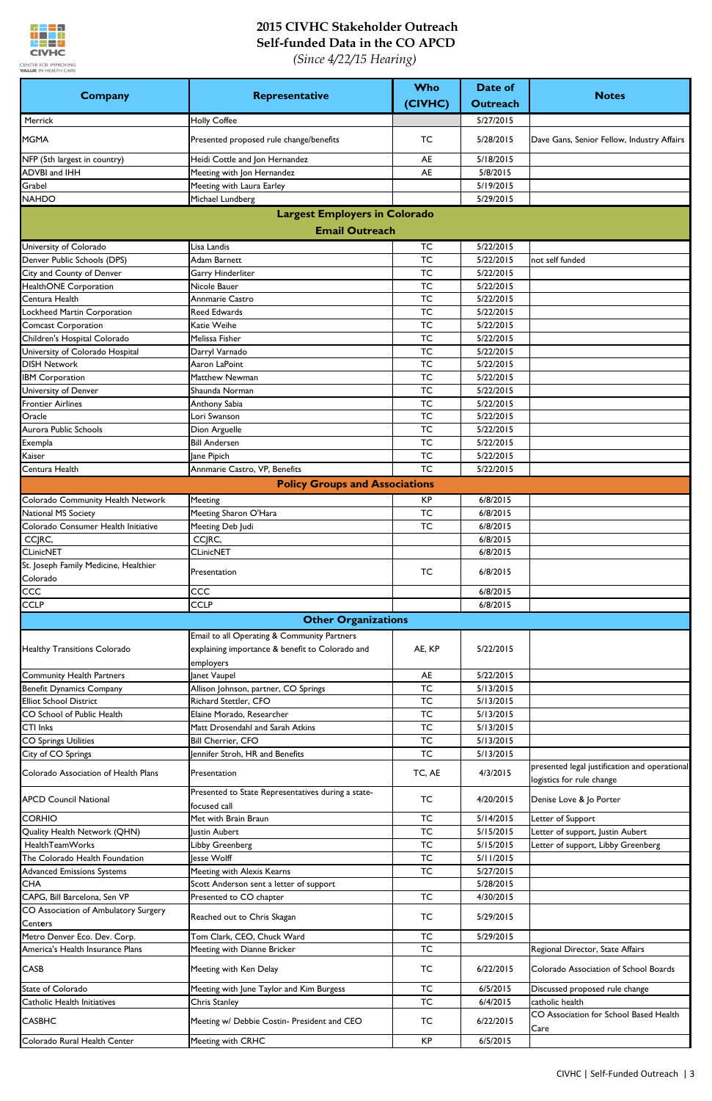

|                                                                      |                                                                    | <b>Who</b>             | Date of                |                                                                            |
|----------------------------------------------------------------------|--------------------------------------------------------------------|------------------------|------------------------|----------------------------------------------------------------------------|
| <b>Company</b>                                                       | Representative                                                     | (CIVHC)                | <b>Outreach</b>        | <b>Notes</b>                                                               |
| Merrick                                                              | <b>Holly Coffee</b>                                                |                        | 5/27/2015              |                                                                            |
| <b>MGMA</b>                                                          | Presented proposed rule change/benefits                            | <b>TC</b>              | 5/28/2015              | Dave Gans, Senior Fellow, Industry Affairs                                 |
| NFP (5th largest in country)                                         | Heidi Cottle and Jon Hernandez                                     | <b>AE</b>              | 5/18/2015              |                                                                            |
| <b>ADVBI and IHH</b>                                                 | Meeting with Jon Hernandez                                         | <b>AE</b>              | 5/8/2015               |                                                                            |
| Grabel                                                               | Meeting with Laura Earley                                          |                        | 5/19/2015              |                                                                            |
| <b>NAHDO</b>                                                         | Michael Lundberg                                                   |                        | 5/29/2015              |                                                                            |
|                                                                      | <b>Largest Employers in Colorado</b>                               |                        |                        |                                                                            |
|                                                                      | <b>Email Outreach</b>                                              |                        |                        |                                                                            |
| University of Colorado                                               | Lisa Landis                                                        | <b>TC</b>              | 5/22/2015              |                                                                            |
| Denver Public Schools (DPS)                                          | Adam Barnett                                                       | <b>TC</b>              | 5/22/2015              | not self funded                                                            |
| City and County of Denver<br><b>HealthONE</b> Corporation            | Garry Hinderliter<br>Nicole Bauer                                  | <b>TC</b><br><b>TC</b> | 5/22/2015<br>5/22/2015 |                                                                            |
| Centura Health                                                       | Annmarie Castro                                                    | <b>TC</b>              | 5/22/2015              |                                                                            |
| Lockheed Martin Corporation                                          | <b>Reed Edwards</b>                                                | <b>TC</b>              | 5/22/2015              |                                                                            |
| <b>Comcast Corporation</b>                                           | Katie Weihe                                                        | <b>TC</b>              | 5/22/2015              |                                                                            |
| Children's Hospital Colorado                                         | Melissa Fisher                                                     | <b>TC</b>              | 5/22/2015              |                                                                            |
| University of Colorado Hospital                                      | Darryl Varnado                                                     | <b>TC</b>              | 5/22/2015              |                                                                            |
| <b>DISH Network</b>                                                  | Aaron LaPoint                                                      | <b>TC</b>              | 5/22/2015              |                                                                            |
| <b>IBM Corporation</b>                                               | Matthew Newman                                                     | <b>TC</b>              | 5/22/2015              |                                                                            |
| University of Denver                                                 | Shaunda Norman                                                     | <b>TC</b>              | 5/22/2015              |                                                                            |
| <b>Frontier Airlines</b>                                             | Anthony Sabia                                                      | <b>TC</b>              | 5/22/2015              |                                                                            |
| Oracle                                                               | Lori Swanson                                                       | <b>TC</b>              | 5/22/2015              |                                                                            |
| Aurora Public Schools                                                | Dion Arguelle                                                      | <b>TC</b>              | 5/22/2015              |                                                                            |
| Exempla                                                              | <b>Bill Andersen</b>                                               | <b>TC</b>              | 5/22/2015              |                                                                            |
| Kaiser                                                               | Jane Pipich                                                        | <b>TC</b>              | 5/22/2015              |                                                                            |
| Centura Health                                                       | Annmarie Castro, VP, Benefits                                      | <b>TC</b>              | 5/22/2015              |                                                                            |
|                                                                      | <b>Policy Groups and Associations</b>                              |                        |                        |                                                                            |
| Colorado Community Health Network                                    | Meeting                                                            | <b>KP</b>              | 6/8/2015               |                                                                            |
| National MS Society                                                  | Meeting Sharon O'Hara                                              | <b>TC</b>              | 6/8/2015               |                                                                            |
| Colorado Consumer Health Initiative                                  | Meeting Deb Judi                                                   | <b>TC</b>              | 6/8/2015               |                                                                            |
| CCJRC,                                                               | CCJRC,                                                             |                        | 6/8/2015               |                                                                            |
| <b>CLinicNET</b>                                                     | <b>CLinicNET</b>                                                   |                        | 6/8/2015               |                                                                            |
| St. Joseph Family Medicine, Healthier<br>Colorado                    | Presentation                                                       | TC                     | 6/8/2015               |                                                                            |
| <b>CCC</b>                                                           | CCC                                                                |                        | 6/8/2015               |                                                                            |
| <b>CCLP</b>                                                          | <b>CCLP</b>                                                        |                        | 6/8/2015               |                                                                            |
|                                                                      | <b>Other Organizations</b>                                         |                        |                        |                                                                            |
|                                                                      | Email to all Operating & Community Partners                        |                        |                        |                                                                            |
| <b>Healthy Transitions Colorado</b>                                  | explaining importance & benefit to Colorado and<br>employers       | AE, KP                 | 5/22/2015              |                                                                            |
| <b>Community Health Partners</b>                                     | Janet Vaupel                                                       | AE                     | 5/22/2015              |                                                                            |
| <b>Benefit Dynamics Company</b>                                      | Allison Johnson, partner, CO Springs                               | <b>TC</b>              | 5/13/2015              |                                                                            |
| <b>Elliot School District</b>                                        | Richard Stettler, CFO                                              | <b>TC</b>              | 5/13/2015              |                                                                            |
| CO School of Public Health                                           | Elaine Morado, Researcher                                          | <b>TC</b>              | 5/13/2015              |                                                                            |
| <b>CTI Inks</b>                                                      | Matt Drosendahl and Sarah Atkins                                   | <b>TC</b>              | 5/13/2015              |                                                                            |
| <b>CO Springs Utilities</b>                                          | <b>Bill Cherrier, CFO</b>                                          | <b>TC</b>              | 5/13/2015              |                                                                            |
| City of CO Springs                                                   | Jennifer Stroh, HR and Benefits                                    | <b>TC</b>              | 5/13/2015              |                                                                            |
| Colorado Association of Health Plans                                 | Presentation                                                       | TC, AE                 | 4/3/2015               | presented legal justification and operational<br>logistics for rule change |
| <b>APCD Council National</b>                                         | Presented to State Representatives during a state-<br>focused call | TC                     | 4/20/2015              | Denise Love & Jo Porter                                                    |
| <b>CORHIO</b>                                                        | Met with Brain Braun                                               | <b>TC</b>              | 5/14/2015              | Letter of Support                                                          |
| Quality Health Network (QHN)                                         | Justin Aubert                                                      | <b>TC</b>              | 5/15/2015              | Letter of support, Justin Aubert                                           |
| HealthTeamWorks                                                      | Libby Greenberg                                                    | <b>TC</b>              | 5/15/2015              | Letter of support, Libby Greenberg                                         |
| The Colorado Health Foundation                                       | lesse Wolff                                                        | <b>TC</b>              | 5/11/2015              |                                                                            |
| <b>Advanced Emissions Systems</b>                                    | Meeting with Alexis Kearns                                         | <b>TC</b>              | 5/27/2015              |                                                                            |
| <b>CHA</b>                                                           | Scott Anderson sent a letter of support                            | <b>TC</b>              | 5/28/2015<br>4/30/2015 |                                                                            |
| CAPG, Bill Barcelona, Sen VP<br>CO Association of Ambulatory Surgery | Presented to CO chapter                                            |                        |                        |                                                                            |
| Centers                                                              | Reached out to Chris Skagan                                        | <b>TC</b>              | 5/29/2015              |                                                                            |
| Metro Denver Eco. Dev. Corp.                                         | Tom Clark, CEO, Chuck Ward                                         | <b>TC</b>              | 5/29/2015              |                                                                            |
| America's Health Insurance Plans                                     | Meeting with Dianne Bricker                                        | <b>TC</b>              |                        | Regional Director, State Affairs                                           |
| <b>CASB</b>                                                          | Meeting with Ken Delay                                             | <b>TC</b>              | 6/22/2015              | Colorado Association of School Boards                                      |
| State of Colorado                                                    | Meeting with June Taylor and Kim Burgess                           | <b>TC</b>              | 6/5/2015               | Discussed proposed rule change                                             |
| Catholic Health Initiatives                                          | Chris Stanley                                                      | <b>TC</b>              | 6/4/2015               | catholic health                                                            |
| <b>CASBHC</b>                                                        | Meeting w/ Debbie Costin- President and CEO                        | <b>TC</b>              | 6/22/2015              | CO Association for School Based Health<br>Care                             |
| Colorado Rural Health Center                                         | Meeting with CRHC                                                  | KP                     | 6/5/2015               |                                                                            |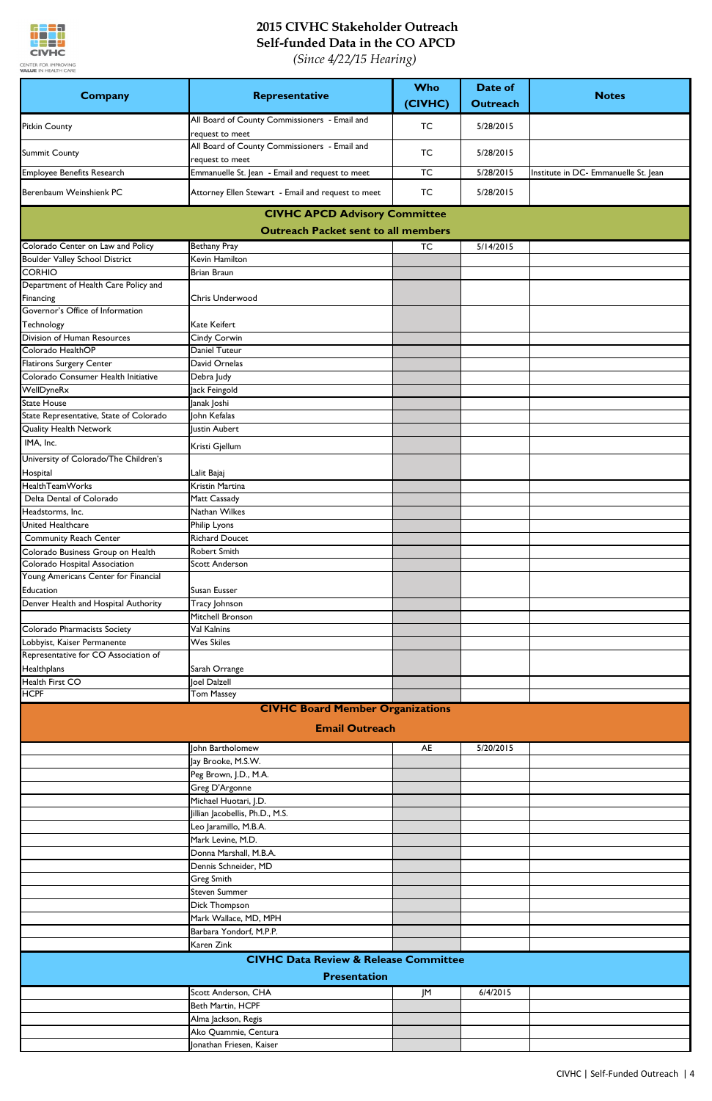

| <b>Company</b>                                                     | Representative                                                   | <b>Who</b><br>(CIVHC) | Date of<br><b>Outreach</b> | <b>Notes</b>                         |
|--------------------------------------------------------------------|------------------------------------------------------------------|-----------------------|----------------------------|--------------------------------------|
| <b>Pitkin County</b>                                               | All Board of County Commissioners - Email and<br>request to meet | <b>TC</b>             | 5/28/2015                  |                                      |
| <b>Summit County</b>                                               | All Board of County Commissioners - Email and<br>request to meet | TC                    | 5/28/2015                  |                                      |
| Employee Benefits Research                                         | Emmanuelle St. Jean - Email and request to meet                  | <b>TC</b>             | 5/28/2015                  | Institute in DC- Emmanuelle St. Jean |
| Berenbaum Weinshienk PC                                            | Attorney Ellen Stewart - Email and request to meet               | <b>TC</b>             | 5/28/2015                  |                                      |
|                                                                    | <b>CIVHC APCD Advisory Committee</b>                             |                       |                            |                                      |
|                                                                    | <b>Outreach Packet sent to all members</b>                       |                       |                            |                                      |
| Colorado Center on Law and Policy                                  | <b>Bethany Pray</b>                                              | <b>TC</b>             | 5/14/2015                  |                                      |
| <b>Boulder Valley School District</b>                              | Kevin Hamilton                                                   |                       |                            |                                      |
| <b>CORHIO</b><br>Department of Health Care Policy and              | Brian Braun                                                      |                       |                            |                                      |
| Financing                                                          | Chris Underwood                                                  |                       |                            |                                      |
| Governor's Office of Information<br>Technology                     | <b>Kate Keifert</b>                                              |                       |                            |                                      |
| Division of Human Resources                                        | Cindy Corwin                                                     |                       |                            |                                      |
| Colorado HealthOP                                                  | Daniel Tuteur                                                    |                       |                            |                                      |
| <b>Flatirons Surgery Center</b>                                    | David Ornelas                                                    |                       |                            |                                      |
| Colorado Consumer Health Initiative                                | Debra Judy                                                       |                       |                            |                                      |
| WellDyneRx<br><b>State House</b>                                   | Jack Feingold<br>Janak Joshi                                     |                       |                            |                                      |
| State Representative, State of Colorado                            | John Kefalas                                                     |                       |                            |                                      |
| Quality Health Network                                             | Justin Aubert                                                    |                       |                            |                                      |
| IMA, Inc.                                                          |                                                                  |                       |                            |                                      |
| University of Colorado/The Children's                              | Kristi Gjellum                                                   |                       |                            |                                      |
| Hospital                                                           | Lalit Bajaj                                                      |                       |                            |                                      |
| Health Team Works                                                  | Kristin Martina                                                  |                       |                            |                                      |
| Delta Dental of Colorado                                           | Matt Cassady                                                     |                       |                            |                                      |
| Headstorms, Inc.                                                   | Nathan Wilkes                                                    |                       |                            |                                      |
| United Healthcare                                                  | Philip Lyons                                                     |                       |                            |                                      |
| <b>Community Reach Center</b>                                      | <b>Richard Doucet</b><br><b>Robert Smith</b>                     |                       |                            |                                      |
| Colorado Business Group on Health<br>Colorado Hospital Association | <b>Scott Anderson</b>                                            |                       |                            |                                      |
| Young Americans Center for Financial                               |                                                                  |                       |                            |                                      |
| Education                                                          | Susan Eusser                                                     |                       |                            |                                      |
| Denver Health and Hospital Authority                               | Tracy Johnson                                                    |                       |                            |                                      |
|                                                                    | Mitchell Bronson                                                 |                       |                            |                                      |
| Colorado Pharmacists Society                                       | Val Kalnins                                                      |                       |                            |                                      |
| Lobbyist, Kaiser Permanente                                        | <b>Wes Skiles</b>                                                |                       |                            |                                      |
| Representative for CO Association of<br>Healthplans                | Sarah Orrange                                                    |                       |                            |                                      |
| Health First CO                                                    | Joel Dalzell                                                     |                       |                            |                                      |
| <b>HCPF</b>                                                        | <b>Tom Massey</b>                                                |                       |                            |                                      |
|                                                                    | <b>CIVHC Board Member Organizations</b>                          |                       |                            |                                      |
|                                                                    | <b>Email Outreach</b>                                            |                       |                            |                                      |
|                                                                    | John Bartholomew                                                 | AE                    | 5/20/2015                  |                                      |
|                                                                    | Jay Brooke, M.S.W.                                               |                       |                            |                                      |
|                                                                    | Peg Brown, J.D., M.A.                                            |                       |                            |                                      |
|                                                                    | Greg D'Argonne                                                   |                       |                            |                                      |
|                                                                    | Michael Huotari, J.D.                                            |                       |                            |                                      |
|                                                                    | Jillian Jacobellis, Ph.D., M.S.                                  |                       |                            |                                      |
|                                                                    | Leo Jaramillo, M.B.A.                                            |                       |                            |                                      |
|                                                                    | Mark Levine, M.D.<br>Donna Marshall, M.B.A.                      |                       |                            |                                      |
|                                                                    | Dennis Schneider, MD                                             |                       |                            |                                      |
|                                                                    | <b>Greg Smith</b>                                                |                       |                            |                                      |
|                                                                    | <b>Steven Summer</b>                                             |                       |                            |                                      |
|                                                                    | Dick Thompson                                                    |                       |                            |                                      |
|                                                                    | Mark Wallace, MD, MPH                                            |                       |                            |                                      |
|                                                                    | Barbara Yondorf, M.P.P.                                          |                       |                            |                                      |
|                                                                    | Karen Zink<br><b>CIVHC Data Review &amp; Release Committee</b>   |                       |                            |                                      |
|                                                                    | <b>Presentation</b>                                              |                       |                            |                                      |
|                                                                    | Scott Anderson, CHA                                              | JM                    | 6/4/2015                   |                                      |
|                                                                    | Beth Martin, HCPF                                                |                       |                            |                                      |
|                                                                    | Alma Jackson, Regis                                              |                       |                            |                                      |
|                                                                    | Ako Quammie, Centura                                             |                       |                            |                                      |
|                                                                    | Jonathan Friesen, Kaiser                                         |                       |                            |                                      |